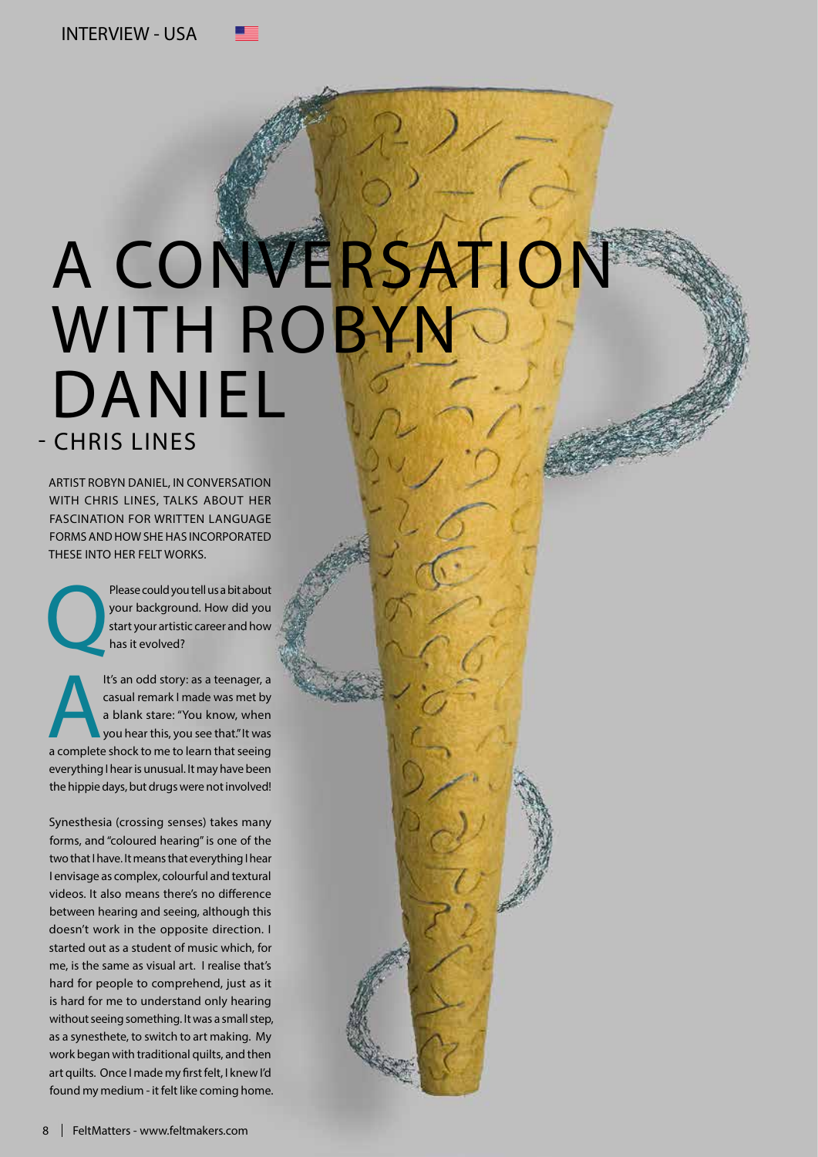## A CONVERSA WITH ROBY DANIEL - CHRIS LINES

ARTIST ROBYN DANIEL, IN CONVERSATION WITH CHRIS LINES, TALKS ABOUT HER FASCINATION FOR WRITTEN LANGUAGE FORMS AND HOW SHE HAS INCORPORATED THESE INTO HER FELT WORKS.

Please could you tell us a bit about<br>your background. How did you<br>start your artistic career and how<br>has it evolved? your background. How did you start your artistic career and how has it evolved?

It's an odd story: as a teenager, a<br>
casual remark I made was met by<br>
a blank stare: "You know, when<br>
you hear this, you see that."It was<br>
a complete shock to me to learn that seeing casual remark I made was met by a blank stare: "You know, when you hear this, you see that." It was everything I hear is unusual. It may have been the hippie days, but drugs were not involved!

Synesthesia (crossing senses) takes many forms, and "coloured hearing" is one of the two that I have. It means that everything I hear I envisage as complex, colourful and textural videos. It also means there's no difference between hearing and seeing, although this doesn't work in the opposite direction. I started out as a student of music which, for me, is the same as visual art. I realise that's hard for people to comprehend, just as it is hard for me to understand only hearing without seeing something. It was a small step, as a synesthete, to switch to art making. My work began with traditional quilts, and then art quilts. Once I made my first felt, I knew I'd found my medium - it felt like coming home.

8 | FeltMatters - www.feltmakers.com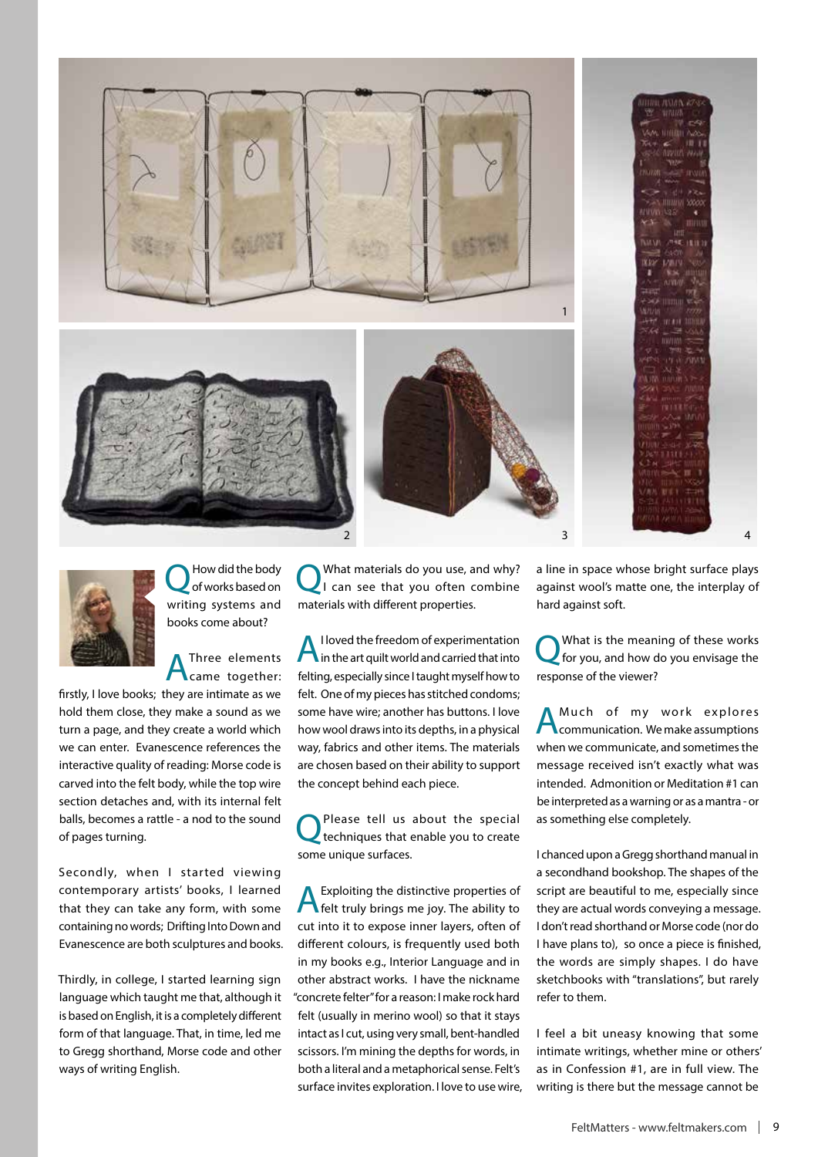

1  $2 \qquad \qquad 3 \qquad \qquad 4$ 





How did the body of works based on writing systems and books come about?

Three elements came together:

firstly, I love books; they are intimate as we hold them close, they make a sound as we turn a page, and they create a world which we can enter. Evanescence references the interactive quality of reading: Morse code is carved into the felt body, while the top wire section detaches and, with its internal felt balls, becomes a rattle - a nod to the sound of pages turning.

Secondly, when I started viewing contemporary artists' books, I learned that they can take any form, with some containing no words; Drifting Into Down and Evanescence are both sculptures and books.

Thirdly, in college, I started learning sign language which taught me that, although it is based on English, it is a completely different form of that language. That, in time, led me to Gregg shorthand, Morse code and other ways of writing English.

What materials do you use, and why? I can see that you often combine materials with different properties.

AI loved the freedom of experimentation in the art quilt world and carried that into felting, especially since I taught myself how to felt. One of my pieces has stitched condoms; some have wire; another has buttons. I love how wool draws into its depths, in a physical way, fabrics and other items. The materials are chosen based on their ability to support the concept behind each piece.

Please tell us about the special techniques that enable you to create some unique surfaces.

AExploiting the distinctive properties of felt truly brings me joy. The ability to cut into it to expose inner layers, often of different colours, is frequently used both in my books e.g., Interior Language and in other abstract works. I have the nickname "concrete felter" for a reason: I make rock hard felt (usually in merino wool) so that it stays intact as I cut, using very small, bent-handled scissors. I'm mining the depths for words, in both a literal and a metaphorical sense. Felt's surface invites exploration. I love to use wire, a line in space whose bright surface plays against wool's matte one, the interplay of hard against soft.

QWhat is the meaning of these works for you, and how do you envisage the response of the viewer?

Much of my work explores communication. We make assumptions when we communicate, and sometimes the message received isn't exactly what was intended. Admonition or Meditation #1 can be interpreted as a warning or as a mantra - or as something else completely.

I chanced upon a Gregg shorthand manual in a secondhand bookshop. The shapes of the script are beautiful to me, especially since they are actual words conveying a message. I don't read shorthand or Morse code (nor do I have plans to), so once a piece is finished, the words are simply shapes. I do have sketchbooks with "translations", but rarely refer to them.

I feel a bit uneasy knowing that some intimate writings, whether mine or others' as in Confession #1, are in full view. The writing is there but the message cannot be